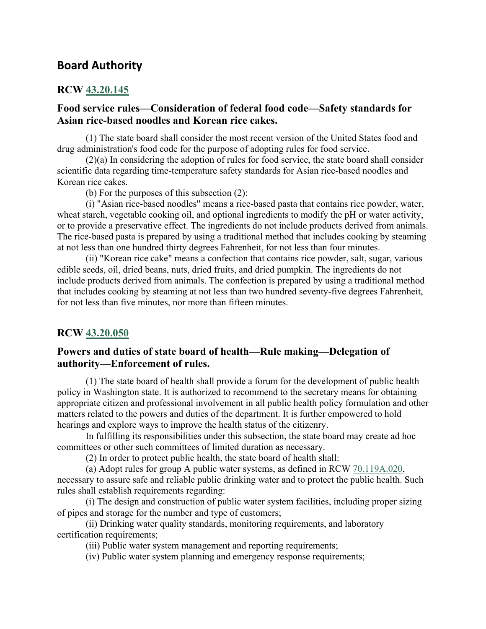# **Board Authority**

## **RCW [43.20.145](http://app.leg.wa.gov/RCW/default.aspx?cite=43.20.145)**

# **Food service rules—Consideration of federal food code—Safety standards for Asian rice-based noodles and Korean rice cakes.**

(1) The state board shall consider the most recent version of the United States food and drug administration's food code for the purpose of adopting rules for food service.

(2)(a) In considering the adoption of rules for food service, the state board shall consider scientific data regarding time-temperature safety standards for Asian rice-based noodles and Korean rice cakes.

(b) For the purposes of this subsection (2):

(i) "Asian rice-based noodles" means a rice-based pasta that contains rice powder, water, wheat starch, vegetable cooking oil, and optional ingredients to modify the pH or water activity, or to provide a preservative effect. The ingredients do not include products derived from animals. The rice-based pasta is prepared by using a traditional method that includes cooking by steaming at not less than one hundred thirty degrees Fahrenheit, for not less than four minutes.

(ii) "Korean rice cake" means a confection that contains rice powder, salt, sugar, various edible seeds, oil, dried beans, nuts, dried fruits, and dried pumpkin. The ingredients do not include products derived from animals. The confection is prepared by using a traditional method that includes cooking by steaming at not less than two hundred seventy-five degrees Fahrenheit, for not less than five minutes, nor more than fifteen minutes.

#### **RCW [43.20.050](http://app.leg.wa.gov/RCW/default.aspx?cite=43.20.050)**

# **Powers and duties of state board of health—Rule making—Delegation of authority—Enforcement of rules.**

(1) The state board of health shall provide a forum for the development of public health policy in Washington state. It is authorized to recommend to the secretary means for obtaining appropriate citizen and professional involvement in all public health policy formulation and other matters related to the powers and duties of the department. It is further empowered to hold hearings and explore ways to improve the health status of the citizenry.

In fulfilling its responsibilities under this subsection, the state board may create ad hoc committees or other such committees of limited duration as necessary.

(2) In order to protect public health, the state board of health shall:

(a) Adopt rules for group A public water systems, as defined in RCW [70.119A.020,](http://app.leg.wa.gov/RCW/default.aspx?cite=70.119A.020)

necessary to assure safe and reliable public drinking water and to protect the public health. Such rules shall establish requirements regarding:

(i) The design and construction of public water system facilities, including proper sizing of pipes and storage for the number and type of customers;

(ii) Drinking water quality standards, monitoring requirements, and laboratory certification requirements;

(iii) Public water system management and reporting requirements;

(iv) Public water system planning and emergency response requirements;